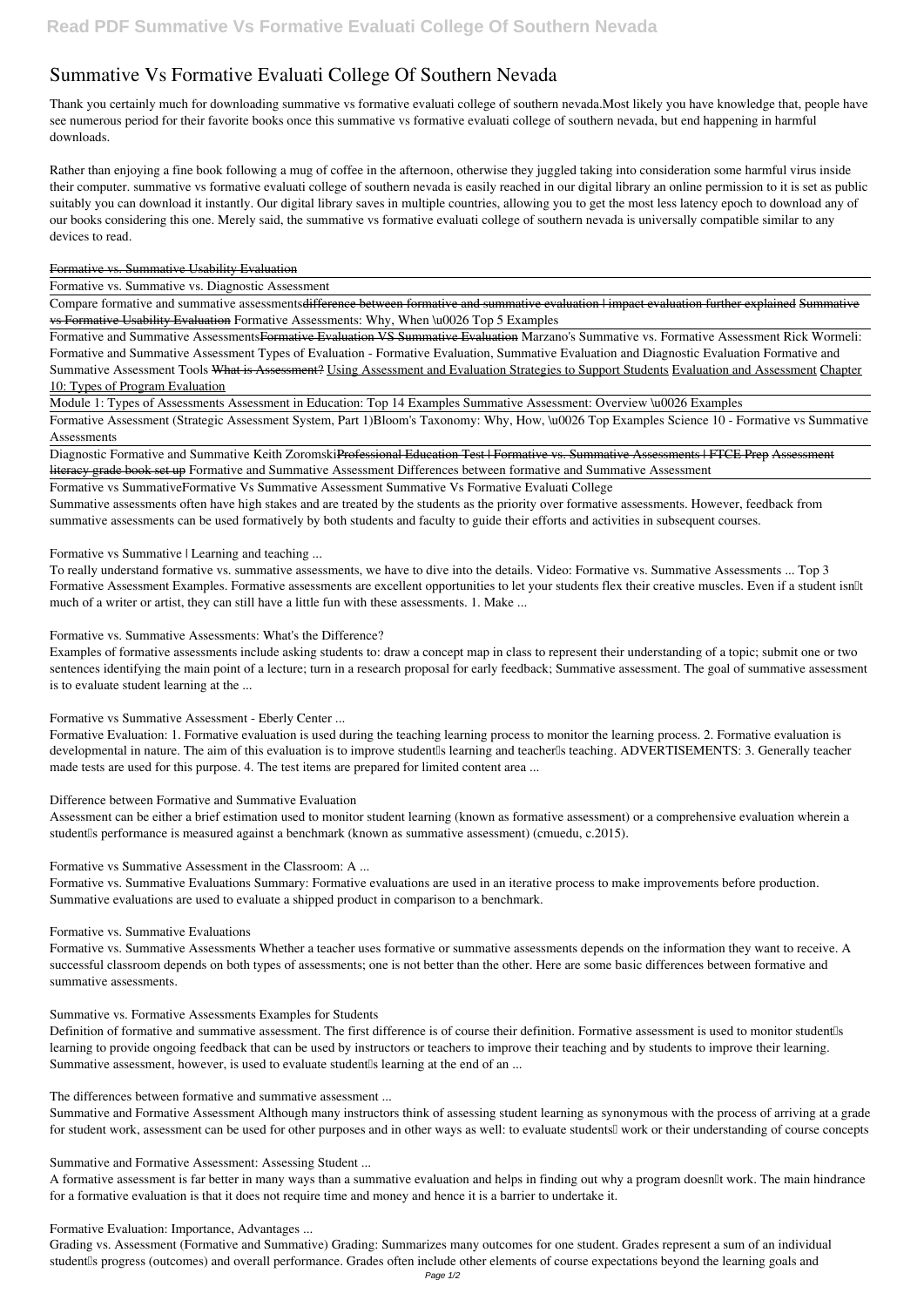# **Summative Vs Formative Evaluati College Of Southern Nevada**

Thank you certainly much for downloading **summative vs formative evaluati college of southern nevada**.Most likely you have knowledge that, people have see numerous period for their favorite books once this summative vs formative evaluati college of southern nevada, but end happening in harmful downloads.

Compare formative and summative assessments<del>difference between formative and summative evaluation | impact evaluation further explained Summative</del> vs Formative Usability Evaluation **Formative Assessments: Why, When \u0026 Top 5 Examples**

Rather than enjoying a fine book following a mug of coffee in the afternoon, otherwise they juggled taking into consideration some harmful virus inside their computer. **summative vs formative evaluati college of southern nevada** is easily reached in our digital library an online permission to it is set as public suitably you can download it instantly. Our digital library saves in multiple countries, allowing you to get the most less latency epoch to download any of our books considering this one. Merely said, the summative vs formative evaluati college of southern nevada is universally compatible similar to any devices to read.

#### Formative vs. Summative Usability Evaluation

Formative vs. Summative vs. Diagnostic Assessment

Diagnostic Formative and Summative Keith ZoromskiProfessional Education Test | Formative vs. Summative Assessments | FTCE Prep Assessment literacy grade book set up *Formative and Summative Assessment* **Differences between formative and Summative Assessment**

To really understand formative vs. summative assessments, we have to dive into the details. Video: Formative vs. Summative Assessments ... Top 3 Formative Assessment Examples. Formative assessments are excellent opportunities to let your students flex their creative muscles. Even if a student isn<sup>[]</sup>t much of a writer or artist, they can still have a little fun with these assessments. 1. Make ...

Formative and Summative AssessmentsFormative Evaluation VS Summative Evaluation *Marzano's Summative vs. Formative Assessment* Rick Wormeli: Formative and Summative Assessment *Types of Evaluation - Formative Evaluation, Summative Evaluation and Diagnostic Evaluation Formative and Summative Assessment Tools* What is Assessment? Using Assessment and Evaluation Strategies to Support Students Evaluation and Assessment Chapter 10: Types of Program Evaluation

Module 1: Types of Assessments Assessment in Education: Top 14 Examples *Summative Assessment: Overview \u0026 Examples*

Formative Assessment (Strategic Assessment System, Part 1)**Bloom's Taxonomy: Why, How, \u0026 Top Examples Science 10 - Formative vs Summative Assessments**

Assessment can be either a brief estimation used to monitor student learning (known as formative assessment) or a comprehensive evaluation wherein a student<sup>II</sup>s performance is measured against a benchmark (known as summative assessment) (cmuedu, c.2015).

Formative vs Summative**Formative Vs Summative Assessment** *Summative Vs Formative Evaluati College*

Summative assessments often have high stakes and are treated by the students as the priority over formative assessments. However, feedback from summative assessments can be used formatively by both students and faculty to guide their efforts and activities in subsequent courses.

Summative and Formative Assessment Although many instructors think of assessing student learning as synonymous with the process of arriving at a grade for student work, assessment can be used for other purposes and in other ways as well: to evaluate students<sup>[]</sup> work or their understanding of course concepts

*Formative vs Summative | Learning and teaching ...*

A formative assessment is far better in many ways than a summative evaluation and helps in finding out why a program doesn'llt work. The main hindrance for a formative evaluation is that it does not require time and money and hence it is a barrier to undertake it.

Grading vs. Assessment (Formative and Summative) Grading: Summarizes many outcomes for one student. Grades represent a sum of an individual student<sup>'s</sup> progress (outcomes) and overall performance. Grades often include other elements of course expectations beyond the learning goals and

*Formative vs. Summative Assessments: What's the Difference?*

Examples of formative assessments include asking students to: draw a concept map in class to represent their understanding of a topic; submit one or two sentences identifying the main point of a lecture; turn in a research proposal for early feedback; Summative assessment. The goal of summative assessment is to evaluate student learning at the ...

*Formative vs Summative Assessment - Eberly Center ...*

Formative Evaluation: 1. Formative evaluation is used during the teaching learning process to monitor the learning process. 2. Formative evaluation is developmental in nature. The aim of this evaluation is to improve student<sup>[]</sup>s learning and teacher<sup>[]</sup>s teaching. ADVERTISEMENTS: 3. Generally teacher made tests are used for this purpose. 4. The test items are prepared for limited content area ...

## *Difference between Formative and Summative Evaluation*

*Formative vs Summative Assessment in the Classroom: A ...*

Formative vs. Summative Evaluations Summary: Formative evaluations are used in an iterative process to make improvements before production. Summative evaluations are used to evaluate a shipped product in comparison to a benchmark.

#### *Formative vs. Summative Evaluations*

Formative vs. Summative Assessments Whether a teacher uses formative or summative assessments depends on the information they want to receive. A successful classroom depends on both types of assessments; one is not better than the other. Here are some basic differences between formative and summative assessments.

#### *Summative vs. Formative Assessments Examples for Students*

Definition of formative and summative assessment. The first difference is of course their definition. Formative assessment is used to monitor studentlls learning to provide ongoing feedback that can be used by instructors or teachers to improve their teaching and by students to improve their learning. Summative assessment, however, is used to evaluate student s learning at the end of an ...

*The differences between formative and summative assessment ...*

*Summative and Formative Assessment: Assessing Student ...*

*Formative Evaluation: Importance, Advantages ...*